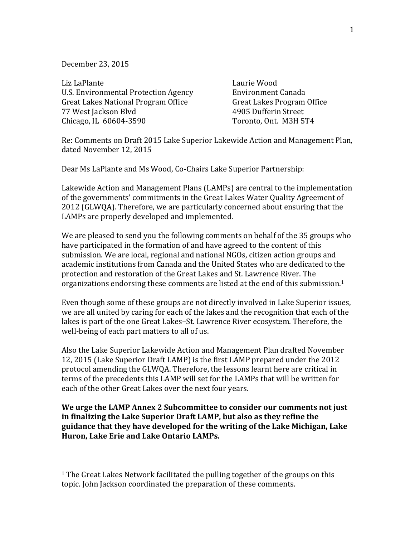December 23, 2015

Liz LaPlante Laurie Wood U.S. Environmental Protection Agency Environment Canada Great Lakes National Program Office Great Lakes Program Office 77 West Jackson Blvd 4905 Dufferin Street Chicago, IL 60604-3590 Toronto, Ont. M3H 5T4

 

Re: Comments on Draft 2015 Lake Superior Lakewide Action and Management Plan, dated November 12, 2015

Dear Ms LaPlante and Ms Wood, Co-Chairs Lake Superior Partnership:

Lakewide Action and Management Plans (LAMPs) are central to the implementation of the governments' commitments in the Great Lakes Water Quality Agreement of 2012 (GLWQA). Therefore, we are particularly concerned about ensuring that the LAMPs are properly developed and implemented.

We are pleased to send you the following comments on behalf of the 35 groups who have participated in the formation of and have agreed to the content of this submission. We are local, regional and national NGOs, citizen action groups and academic institutions from Canada and the United States who are dedicated to the protection and restoration of the Great Lakes and St. Lawrence River. The organizations endorsing these comments are listed at the end of this submission.<sup>1</sup>

Even though some of these groups are not directly involved in Lake Superior issues, we are all united by caring for each of the lakes and the recognition that each of the lakes is part of the one Great Lakes–St. Lawrence River ecosystem. Therefore, the well-being of each part matters to all of us.

Also the Lake Superior Lakewide Action and Management Plan drafted November 12, 2015 (Lake Superior Draft LAMP) is the first LAMP prepared under the 2012 protocol amending the GLWQA. Therefore, the lessons learnt here are critical in terms of the precedents this LAMP will set for the LAMPs that will be written for each of the other Great Lakes over the next four years.

We urge the LAMP Annex 2 Subcommittee to consider our comments not just in finalizing the Lake Superior Draft LAMP, but also as they refine the **guidance that they have developed for the writing of the Lake Michigan, Lake Huron, Lake Erie and Lake Ontario LAMPs.** 

 $1$  The Great Lakes Network facilitated the pulling together of the groups on this topic. John Jackson coordinated the preparation of these comments.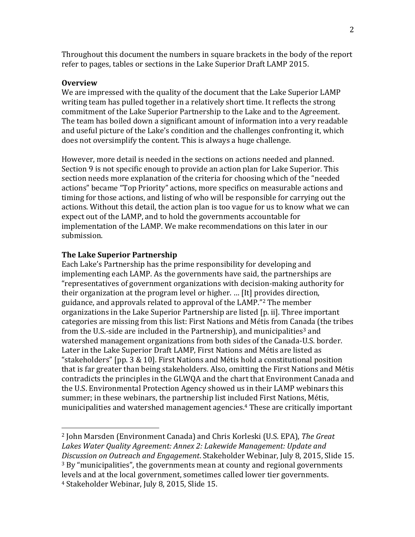Throughout this document the numbers in square brackets in the body of the report refer to pages, tables or sections in the Lake Superior Draft LAMP 2015.

## **Overview**

We are impressed with the quality of the document that the Lake Superior LAMP writing team has pulled together in a relatively short time. It reflects the strong commitment of the Lake Superior Partnership to the Lake and to the Agreement. The team has boiled down a significant amount of information into a very readable and useful picture of the Lake's condition and the challenges confronting it, which does not oversimplify the content. This is always a huge challenge.

However, more detail is needed in the sections on actions needed and planned. Section 9 is not specific enough to provide an action plan for Lake Superior. This section needs more explanation of the criteria for choosing which of the "needed" actions" became "Top Priority" actions, more specifics on measurable actions and timing for those actions, and listing of who will be responsible for carrying out the actions. Without this detail, the action plan is too vague for us to know what we can expect out of the LAMP, and to hold the governments accountable for implementation of the LAMP. We make recommendations on this later in our submission.

#### **The Lake Superior Partnership**

 

Each Lake's Partnership has the prime responsibility for developing and implementing each LAMP. As the governments have said, the partnerships are "representatives of government organizations with decision-making authority for their organization at the program level or higher. ... [It] provides direction, guidance, and approvals related to approval of the LAMP."<sup>2</sup> The member organizations in the Lake Superior Partnership are listed [p. ii]. Three important categories are missing from this list: First Nations and Métis from Canada (the tribes from the U.S.-side are included in the Partnership), and municipalities<sup>3</sup> and watershed management organizations from both sides of the Canada-U.S. border. Later in the Lake Superior Draft LAMP, First Nations and Métis are listed as "stakeholders" [pp. 3  $\&$  10]. First Nations and Métis hold a constitutional position that is far greater than being stakeholders. Also, omitting the First Nations and Métis contradicts the principles in the GLWQA and the chart that Environment Canada and the U.S. Environmental Protection Agency showed us in their LAMP webinars this summer; in these webinars, the partnership list included First Nations, Métis, municipalities and watershed management agencies.<sup>4</sup> These are critically important

<sup>&</sup>lt;sup>2</sup> John Marsden (Environment Canada) and Chris Korleski (U.S. EPA), *The Great* Lakes Water Quality Agreement: Annex 2: Lakewide Management: Update and *Discussion on Outreach and Engagement.* Stakeholder Webinar, July 8, 2015, Slide 15.  $3$  By "municipalities", the governments mean at county and regional governments levels and at the local government, sometimes called lower tier governments. <sup>4</sup> Stakeholder Webinar, July 8, 2015, Slide 15.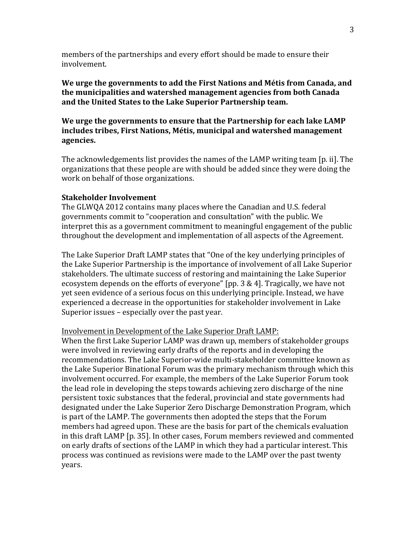members of the partnerships and every effort should be made to ensure their involvement.

We urge the governments to add the First Nations and Métis from Canada, and **the municipalities and watershed management agencies from both Canada** and the United States to the Lake Superior Partnership team.

We urge the governments to ensure that the Partnership for each lake LAMP includes tribes, First Nations, Métis, municipal and watershed management **agencies.**

The acknowledgements list provides the names of the LAMP writing team [p. ii]. The organizations that these people are with should be added since they were doing the work on behalf of those organizations.

## **Stakeholder Involvement**

The GLWOA 2012 contains many places where the Canadian and U.S. federal governments commit to "cooperation and consultation" with the public. We interpret this as a government commitment to meaningful engagement of the public throughout the development and implementation of all aspects of the Agreement.

The Lake Superior Draft LAMP states that "One of the key underlying principles of the Lake Superior Partnership is the importance of involvement of all Lake Superior stakeholders. The ultimate success of restoring and maintaining the Lake Superior ecosystem depends on the efforts of everyone" [pp.  $3 \& 4$ ]. Tragically, we have not yet seen evidence of a serious focus on this underlying principle. Instead, we have experienced a decrease in the opportunities for stakeholder involvement in Lake Superior issues  $-$  especially over the past year.

#### Involvement in Development of the Lake Superior Draft LAMP:

When the first Lake Superior LAMP was drawn up, members of stakeholder groups were involved in reviewing early drafts of the reports and in developing the recommendations. The Lake Superior-wide multi-stakeholder committee known as the Lake Superior Binational Forum was the primary mechanism through which this involvement occurred. For example, the members of the Lake Superior Forum took the lead role in developing the steps towards achieving zero discharge of the nine persistent toxic substances that the federal, provincial and state governments had designated under the Lake Superior Zero Discharge Demonstration Program, which is part of the LAMP. The governments then adopted the steps that the Forum members had agreed upon. These are the basis for part of the chemicals evaluation in this draft LAMP [p. 35]. In other cases, Forum members reviewed and commented on early drafts of sections of the LAMP in which they had a particular interest. This process was continued as revisions were made to the LAMP over the past twenty years.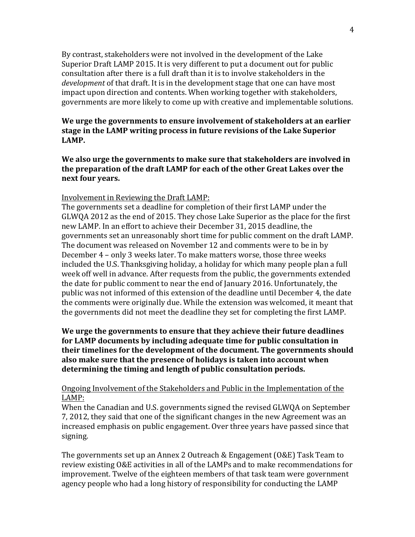By contrast, stakeholders were not involved in the development of the Lake Superior Draft LAMP 2015. It is very different to put a document out for public consultation after there is a full draft than it is to involve stakeholders in the *development* of that draft. It is in the development stage that one can have most impact upon direction and contents. When working together with stakeholders, governments are more likely to come up with creative and implementable solutions.

## **We urge the governments to ensure involvement of stakeholders at an earlier** stage in the LAMP writing process in future revisions of the Lake Superior **LAMP.**

We also urge the governments to make sure that stakeholders are involved in the preparation of the draft LAMP for each of the other Great Lakes over the **next four years.** 

## Involvement in Reviewing the Draft LAMP:

The governments set a deadline for completion of their first LAMP under the GLWQA 2012 as the end of 2015. They chose Lake Superior as the place for the first new LAMP. In an effort to achieve their December 31, 2015 deadline, the governments set an unreasonably short time for public comment on the draft LAMP. The document was released on November 12 and comments were to be in by December 4 - only 3 weeks later. To make matters worse, those three weeks included the U.S. Thanksgiving holiday, a holiday for which many people plan a full week off well in advance. After requests from the public, the governments extended the date for public comment to near the end of January 2016. Unfortunately, the public was not informed of this extension of the deadline until December 4, the date the comments were originally due. While the extension was welcomed, it meant that the governments did not meet the deadline they set for completing the first LAMP.

## **We urge the governments to ensure that they achieve their future deadlines for LAMP** documents by including adequate time for public consultation in **their timelines for the development of the document. The governments should** also make sure that the presence of holidays is taken into account when determining the timing and length of public consultation periods.

## Ongoing Involvement of the Stakeholders and Public in the Implementation of the LAMP:

When the Canadian and U.S. governments signed the revised GLWQA on September 7, 2012, they said that one of the significant changes in the new Agreement was an increased emphasis on public engagement. Over three years have passed since that signing. 

The governments set up an Annex 2 Outreach & Engagement  $(0 &E)$  Task Team to review existing O&E activities in all of the LAMPs and to make recommendations for improvement. Twelve of the eighteen members of that task team were government agency people who had a long history of responsibility for conducting the LAMP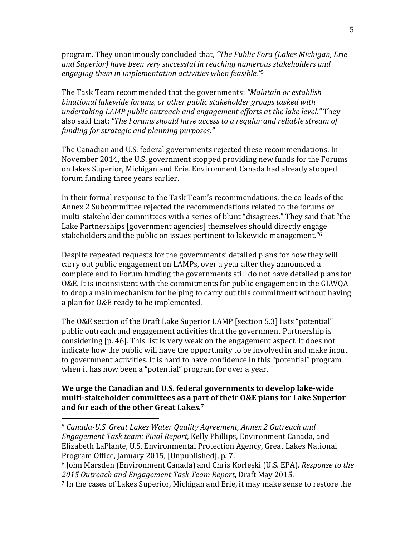program. They unanimously concluded that, "The Public Fora (Lakes Michigan, Erie and Superior) have been very successful in reaching numerous stakeholders and *engaging them in implementation activities when feasible.*"<sup>5</sup>

The Task Team recommended that the governments: *"Maintain or establish binational lakewide forums, or other public stakeholder groups tasked with undertaking LAMP public outreach and engagement efforts at the lake level."* They also said that: "The Forums should have access to a regular and reliable stream of *funding for strategic and planning purposes."*

The Canadian and U.S. federal governments rejected these recommendations. In November 2014, the U.S. government stopped providing new funds for the Forums on lakes Superior, Michigan and Erie. Environment Canada had already stopped forum funding three years earlier.

In their formal response to the Task Team's recommendations, the co-leads of the Annex 2 Subcommittee rejected the recommendations related to the forums or multi-stakeholder committees with a series of blunt "disagrees." They said that "the Lake Partnerships [government agencies] themselves should directly engage stakeholders and the public on issues pertinent to lakewide management." $6$ 

Despite repeated requests for the governments' detailed plans for how they will carry out public engagement on LAMPs, over a year after they announced a complete end to Forum funding the governments still do not have detailed plans for O&E. It is inconsistent with the commitments for public engagement in the GLWQA to drop a main mechanism for helping to carry out this commitment without having a plan for O&E ready to be implemented.

The O&E section of the Draft Lake Superior LAMP [section 5.3] lists "potential" public outreach and engagement activities that the government Partnership is considering [p. 46]. This list is very weak on the engagement aspect. It does not indicate how the public will have the opportunity to be involved in and make input to government activities. It is hard to have confidence in this "potential" program when it has now been a "potential" program for over a year.

## We urge the Canadian and U.S. federal governments to develop lake-wide **multi-stakeholder committees as a part of their O&E plans for Lake Superior** and for each of the other Great Lakes.<sup>7</sup>

 

<sup>&</sup>lt;sup>5</sup> Canada-U.S. Great Lakes Water Quality Agreement, Annex 2 Outreach and *Engagement Task team: Final Report, Kelly Phillips, Environment Canada, and* Elizabeth LaPlante, U.S. Environmental Protection Agency, Great Lakes National Program Office, January 2015, [Unpublished], p. 7.

<sup>&</sup>lt;sup>6</sup> John Marsden (Environment Canada) and Chris Korleski (U.S. EPA), *Response to the 2015 Outreach and Engagement Task Team Report*, Draft May 2015.

<sup>&</sup>lt;sup>7</sup> In the cases of Lakes Superior, Michigan and Erie, it may make sense to restore the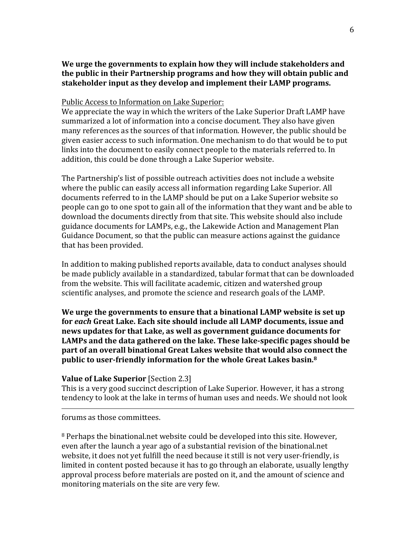# We urge the governments to explain how they will include stakeholders and **the public in their Partnership programs and how they will obtain public and** stakeholder input as they develop and implement their LAMP programs.

## Public Access to Information on Lake Superior:

We appreciate the way in which the writers of the Lake Superior Draft LAMP have summarized a lot of information into a concise document. They also have given many references as the sources of that information. However, the public should be given easier access to such information. One mechanism to do that would be to put links into the document to easily connect people to the materials referred to. In addition, this could be done through a Lake Superior website.

The Partnership's list of possible outreach activities does not include a website where the public can easily access all information regarding Lake Superior. All documents referred to in the LAMP should be put on a Lake Superior website so people can go to one spot to gain all of the information that they want and be able to download the documents directly from that site. This website should also include guidance documents for LAMPs, e.g., the Lakewide Action and Management Plan Guidance Document, so that the public can measure actions against the guidance that has been provided.

In addition to making published reports available, data to conduct analyses should be made publicly available in a standardized, tabular format that can be downloaded from the website. This will facilitate academic, citizen and watershed group scientific analyses, and promote the science and research goals of the LAMP.

We urge the governments to ensure that a binational LAMP website is set up for each Great Lake. Each site should include all LAMP documents, issue and news updates for that Lake, as well as government guidance documents for LAMPs and the data gathered on the lake. These lake-specific pages should be **part of an overall binational Great Lakes website that would also connect the public to user-friendly information for the whole Great Lakes basin.**8

## **Value of Lake Superior** [Section 2.3]

This is a very good succinct description of Lake Superior. However, it has a strong tendency to look at the lake in terms of human uses and needs. We should not look

<u> 1989 - Andrea Santa Andrea Andrea Andrea Andrea Andrea Andrea Andrea Andrea Andrea Andrea Andrea Andrea Andr</u>

forums as those committees.

<sup>8</sup> Perhaps the binational.net website could be developed into this site. However, even after the launch a year ago of a substantial revision of the binational.net website, it does not yet fulfill the need because it still is not very user-friendly, is limited in content posted because it has to go through an elaborate, usually lengthy approval process before materials are posted on it, and the amount of science and monitoring materials on the site are very few.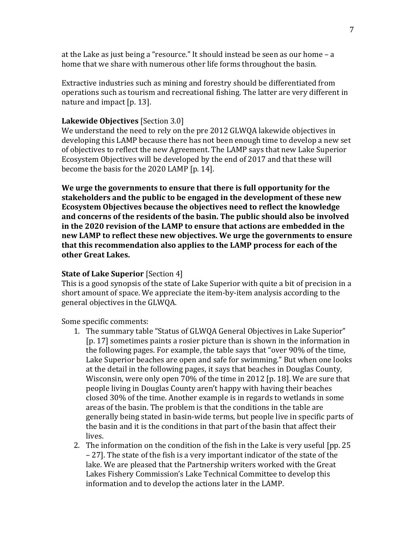at the Lake as just being a "resource." It should instead be seen as our home  $-$  a home that we share with numerous other life forms throughout the basin.

Extractive industries such as mining and forestry should be differentiated from operations such as tourism and recreational fishing. The latter are very different in nature and impact  $[p. 13]$ .

## **Lakewide Objectives** [Section 3.0]

We understand the need to rely on the pre 2012 GLWOA lakewide objectives in developing this LAMP because there has not been enough time to develop a new set of objectives to reflect the new Agreement. The LAMP says that new Lake Superior Ecosystem Objectives will be developed by the end of 2017 and that these will become the basis for the 2020 LAMP [p. 14].

**We urge the governments to ensure that there is full opportunity for the** stakeholders and the public to be engaged in the development of these new **Ecosystem Objectives because the objectives need to reflect the knowledge** and concerns of the residents of the basin. The public should also be involved in the 2020 revision of the LAMP to ensure that actions are embedded in the **new LAMP** to reflect these new objectives. We urge the governments to ensure that this recommendation also applies to the LAMP process for each of the **other Great Lakes.**

### **State of Lake Superior** [Section 4]

This is a good synopsis of the state of Lake Superior with quite a bit of precision in a short amount of space. We appreciate the item-by-item analysis according to the general objectives in the GLWQA.

Some specific comments:

- 1. The summary table "Status of GLWQA General Objectives in Lake Superior" [p. 17] sometimes paints a rosier picture than is shown in the information in the following pages. For example, the table says that "over 90% of the time, Lake Superior beaches are open and safe for swimming." But when one looks at the detail in the following pages, it says that beaches in Douglas County, Wisconsin, were only open  $70\%$  of the time in 2012 [p. 18]. We are sure that people living in Douglas County aren't happy with having their beaches closed 30% of the time. Another example is in regards to wetlands in some areas of the basin. The problem is that the conditions in the table are generally being stated in basin-wide terms, but people live in specific parts of the basin and it is the conditions in that part of the basin that affect their lives.
- 2. The information on the condition of the fish in the Lake is very useful  $[pp. 25]$ – 27]. The state of the fish is a very important indicator of the state of the lake. We are pleased that the Partnership writers worked with the Great Lakes Fishery Commission's Lake Technical Committee to develop this information and to develop the actions later in the LAMP.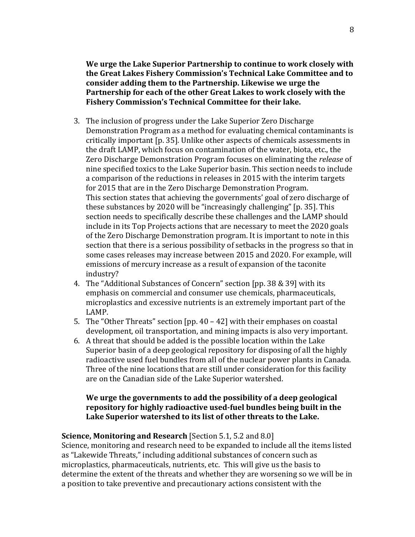We urge the Lake Superior Partnership to continue to work closely with the Great Lakes Fishery Commission's Technical Lake Committee and to consider adding them to the Partnership. Likewise we urge the **Partnership for each of the other Great Lakes to work closely with the** Fishery Commission's Technical Committee for their lake.

- 3. The inclusion of progress under the Lake Superior Zero Discharge Demonstration Program as a method for evaluating chemical contaminants is critically important [p. 35]. Unlike other aspects of chemicals assessments in the draft LAMP, which focus on contamination of the water, biota, etc., the Zero Discharge Demonstration Program focuses on eliminating the *release* of nine specified toxics to the Lake Superior basin. This section needs to include a comparison of the reductions in releases in 2015 with the interim targets for 2015 that are in the Zero Discharge Demonstration Program. This section states that achieving the governments' goal of zero discharge of these substances by 2020 will be "increasingly challenging" [p. 35]. This section needs to specifically describe these challenges and the LAMP should include in its Top Projects actions that are necessary to meet the 2020 goals of the Zero Discharge Demonstration program. It is important to note in this section that there is a serious possibility of setbacks in the progress so that in some cases releases may increase between 2015 and 2020. For example, will emissions of mercury increase as a result of expansion of the taconite industry?
- 4. The "Additional Substances of Concern" section [pp. 38 & 39] with its emphasis on commercial and consumer use chemicals, pharmaceuticals, microplastics and excessive nutrients is an extremely important part of the LAMP.
- 5. The "Other Threats" section  $[pp. 40 42]$  with their emphases on coastal development, oil transportation, and mining impacts is also very important.
- 6. A threat that should be added is the possible location within the Lake Superior basin of a deep geological repository for disposing of all the highly radioactive used fuel bundles from all of the nuclear power plants in Canada. Three of the nine locations that are still under consideration for this facility are on the Canadian side of the Lake Superior watershed.

## We urge the governments to add the possibility of a deep geological **repository for highly radioactive used-fuel bundles being built in the** Lake Superior watershed to its list of other threats to the Lake.

# **Science, Monitoring and Research** [Section 5.1, 5.2 and 8.0]

Science, monitoring and research need to be expanded to include all the items listed as "Lakewide Threats," including additional substances of concern such as microplastics, pharmaceuticals, nutrients, etc. This will give us the basis to determine the extent of the threats and whether they are worsening so we will be in a position to take preventive and precautionary actions consistent with the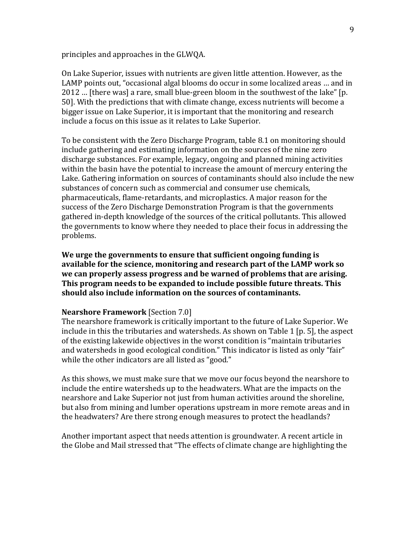principles and approaches in the GLWQA.

On Lake Superior, issues with nutrients are given little attention. However, as the LAMP points out, "occasional algal blooms do occur in some localized areas ... and in 2012 ... [there was] a rare, small blue-green bloom in the southwest of the lake" [p. 50]. With the predictions that with climate change, excess nutrients will become a bigger issue on Lake Superior, it is important that the monitoring and research include a focus on this issue as it relates to Lake Superior.

To be consistent with the Zero Discharge Program, table 8.1 on monitoring should include gathering and estimating information on the sources of the nine zero discharge substances. For example, legacy, ongoing and planned mining activities within the basin have the potential to increase the amount of mercury entering the Lake. Gathering information on sources of contaminants should also include the new substances of concern such as commercial and consumer use chemicals, pharmaceuticals, flame-retardants, and microplastics. A major reason for the success of the Zero Discharge Demonstration Program is that the governments gathered in-depth knowledge of the sources of the critical pollutants. This allowed the governments to know where they needed to place their focus in addressing the problems.

We urge the governments to ensure that sufficient ongoing funding is **available for the science, monitoring and research part of the LAMP work so** we can properly assess progress and be warned of problems that are arising. **This program needs to be expanded to include possible future threats. This** should also include information on the sources of contaminants.

#### **Nearshore Framework** [Section 7.0]

The nearshore framework is critically important to the future of Lake Superior. We include in this the tributaries and watersheds. As shown on Table 1 [p. 5], the aspect of the existing lakewide objectives in the worst condition is "maintain tributaries" and watersheds in good ecological condition." This indicator is listed as only "fair" while the other indicators are all listed as "good."

As this shows, we must make sure that we move our focus beyond the nearshore to include the entire watersheds up to the headwaters. What are the impacts on the nearshore and Lake Superior not just from human activities around the shoreline, but also from mining and lumber operations upstream in more remote areas and in the headwaters? Are there strong enough measures to protect the headlands?

Another important aspect that needs attention is groundwater. A recent article in the Globe and Mail stressed that "The effects of climate change are highlighting the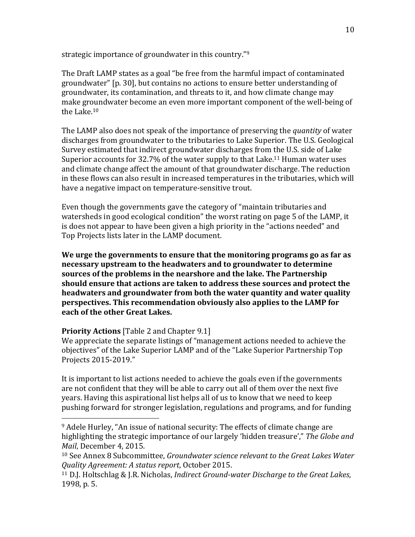strategic importance of groundwater in this country." $9$ 

The Draft LAMP states as a goal "be free from the harmful impact of contaminated groundwater" [p. 30], but contains no actions to ensure better understanding of groundwater, its contamination, and threats to it, and how climate change may make groundwater become an even more important component of the well-being of the Lake.<sup>10</sup>

The LAMP also does not speak of the importance of preserving the *quantity* of water discharges from groundwater to the tributaries to Lake Superior. The U.S. Geological Survey estimated that indirect groundwater discharges from the U.S. side of Lake Superior accounts for  $32.7\%$  of the water supply to that Lake.<sup>11</sup> Human water uses and climate change affect the amount of that groundwater discharge. The reduction in these flows can also result in increased temperatures in the tributaries, which will have a negative impact on temperature-sensitive trout.

Even though the governments gave the category of "maintain tributaries and watersheds in good ecological condition" the worst rating on page 5 of the LAMP, it is does not appear to have been given a high priority in the "actions needed" and Top Projects lists later in the LAMP document.

**We urge the governments to ensure that the monitoring programs go as far as necessary upstream to the headwaters and to groundwater to determine** sources of the problems in the nearshore and the lake. The Partnership **should** ensure that actions are taken to address these sources and protect the **headwaters and groundwater from both the water quantity and water quality perspectives.** This recommendation obviously also applies to the LAMP for **each of the other Great Lakes.** 

## **Priority Actions** [Table 2 and Chapter 9.1]

 

We appreciate the separate listings of "management actions needed to achieve the objectives" of the Lake Superior LAMP and of the "Lake Superior Partnership Top Projects 2015-2019." 

It is important to list actions needed to achieve the goals even if the governments are not confident that they will be able to carry out all of them over the next five years. Having this aspirational list helps all of us to know that we need to keep pushing forward for stronger legislation, regulations and programs, and for funding

<sup>&</sup>lt;sup>9</sup> Adele Hurley, "An issue of national security: The effects of climate change are highlighting the strategic importance of our largely 'hidden treasure'," The Globe and *Mail*, December 4, 2015.

<sup>&</sup>lt;sup>10</sup> See Annex 8 Subcommittee, *Groundwater science relevant to the Great Lakes Water Quality Agreement: A status report*, October 2015.

<sup>&</sup>lt;sup>11</sup> D.J. Holtschlag & J.R. Nicholas, *Indirect Ground-water Discharge to the Great Lakes*, 1998, p. 5.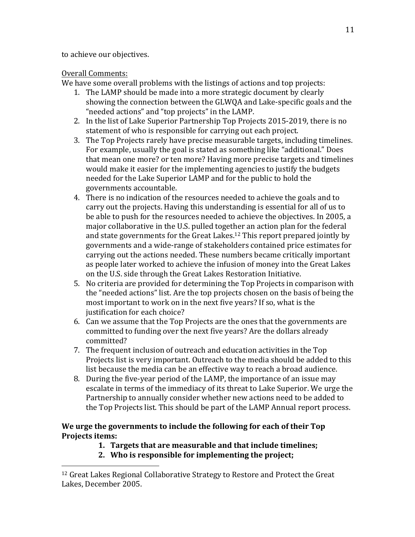to achieve our objectives.

 

# Overall Comments:

We have some overall problems with the listings of actions and top projects:

- 1. The LAMP should be made into a more strategic document by clearly showing the connection between the GLWQA and Lake-specific goals and the "needed actions" and "top projects" in the LAMP.
- 2. In the list of Lake Superior Partnership Top Projects 2015-2019, there is no statement of who is responsible for carrying out each project.
- 3. The Top Projects rarely have precise measurable targets, including timelines. For example, usually the goal is stated as something like "additional." Does that mean one more? or ten more? Having more precise targets and timelines would make it easier for the implementing agencies to justify the budgets needed for the Lake Superior LAMP and for the public to hold the governments accountable.
- 4. There is no indication of the resources needed to achieve the goals and to carry out the projects. Having this understanding is essential for all of us to be able to push for the resources needed to achieve the objectives. In 2005, a major collaborative in the U.S. pulled together an action plan for the federal and state governments for the Great Lakes.<sup>12</sup> This report prepared iointly by governments and a wide-range of stakeholders contained price estimates for carrying out the actions needed. These numbers became critically important as people later worked to achieve the infusion of money into the Great Lakes on the U.S. side through the Great Lakes Restoration Initiative.
- 5. No criteria are provided for determining the Top Projects in comparison with the "needed actions" list. Are the top projects chosen on the basis of being the most important to work on in the next five years? If so, what is the justification for each choice?
- 6. Can we assume that the Top Projects are the ones that the governments are committed to funding over the next five years? Are the dollars already committed?
- 7. The frequent inclusion of outreach and education activities in the Top Projects list is very important. Outreach to the media should be added to this list because the media can be an effective way to reach a broad audience.
- 8. During the five-year period of the LAMP, the importance of an issue may escalate in terms of the immediacy of its threat to Lake Superior. We urge the Partnership to annually consider whether new actions need to be added to the Top Projects list. This should be part of the LAMP Annual report process.

# We urge the governments to include the following for each of their Top **Projects items:**

- **1. Targets that are measurable and that include timelines;**
- 2. Who is responsible for implementing the project;

<sup>&</sup>lt;sup>12</sup> Great Lakes Regional Collaborative Strategy to Restore and Protect the Great Lakes, December 2005.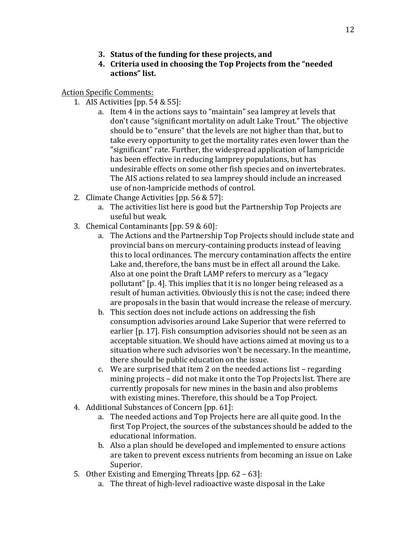- **3.** Status of the funding for these projects, and
- **4.** Criteria used in choosing the Top Projects from the "needed **actions" list.**

Action Specific Comments:

- 1. AIS Activities  $[pp. 54 & 55]$ :
	- a. Item 4 in the actions says to "maintain" sea lamprey at levels that don't cause "significant mortality on adult Lake Trout." The objective should be to "ensure" that the levels are not higher than that, but to take every opportunity to get the mortality rates even lower than the "significant" rate. Further, the widespread application of lampricide has been effective in reducing lamprey populations, but has undesirable effects on some other fish species and on invertebrates. The AIS actions related to sea lamprey should include an increased use of non-lampricide methods of control.
- 2. Climate Change Activities [pp. 56 & 57]:
	- a. The activities list here is good but the Partnership Top Projects are useful but weak.
- 3. Chemical Contaminants  $[pp. 59 & 60]$ :
	- a. The Actions and the Partnership Top Projects should include state and provincial bans on mercury-containing products instead of leaving this to local ordinances. The mercury contamination affects the entire Lake and, therefore, the bans must be in effect all around the Lake. Also at one point the Draft LAMP refers to mercury as a "legacy" pollutant" [p. 4]. This implies that it is no longer being released as a result of human activities. Obviously this is not the case; indeed there are proposals in the basin that would increase the release of mercury.
	- b. This section does not include actions on addressing the fish consumption advisories around Lake Superior that were referred to earlier [p. 17]. Fish consumption advisories should not be seen as an acceptable situation. We should have actions aimed at moving us to a situation where such advisories won't be necessary. In the meantime, there should be public education on the issue.
	- c. We are surprised that item 2 on the needed actions list  $-$  regarding mining projects – did not make it onto the Top Projects list. There are currently proposals for new mines in the basin and also problems with existing mines. Therefore, this should be a Top Project.
- 4. Additional Substances of Concern [pp. 61]:
	- a. The needed actions and Top Projects here are all quite good. In the first Top Project, the sources of the substances should be added to the educational information.
	- b. Also a plan should be developed and implemented to ensure actions are taken to prevent excess nutrients from becoming an issue on Lake Superior.
- 5. Other Existing and Emerging Threats  $[pp. 62 63]$ :
	- a. The threat of high-level radioactive waste disposal in the Lake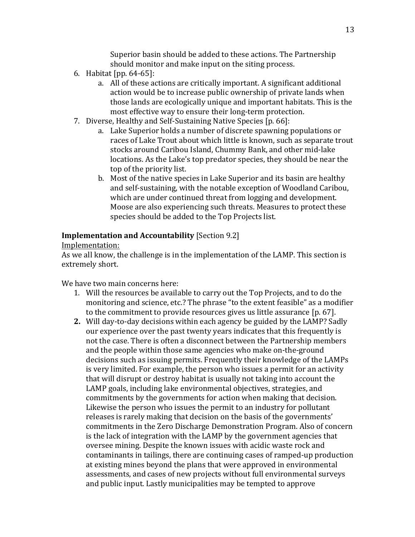Superior basin should be added to these actions. The Partnership should monitor and make input on the siting process.

- 6. Habitat  $[pp. 64-65]$ :
	- a. All of these actions are critically important. A significant additional action would be to increase public ownership of private lands when those lands are ecologically unique and important habitats. This is the most effective way to ensure their long-term protection.
- 7. Diverse, Healthy and Self-Sustaining Native Species [p. 66]:
	- a. Lake Superior holds a number of discrete spawning populations or races of Lake Trout about which little is known, such as separate trout stocks around Caribou Island, Chummy Bank, and other mid-lake locations. As the Lake's top predator species, they should be near the top of the priority list.
	- b. Most of the native species in Lake Superior and its basin are healthy and self-sustaining, with the notable exception of Woodland Caribou, which are under continued threat from logging and development. Moose are also experiencing such threats. Measures to protect these species should be added to the Top Projects list.

# **Implementation and Accountability** [Section 9.2]

## Implementation:

As we all know, the challenge is in the implementation of the LAMP. This section is extremely short.

We have two main concerns here:

- 1. Will the resources be available to carry out the Top Projects, and to do the monitoring and science, etc.? The phrase "to the extent feasible" as a modifier to the commitment to provide resources gives us little assurance [p. 67].
- **2.** Will day-to-day decisions within each agency be guided by the LAMP? Sadly our experience over the past twenty years indicates that this frequently is not the case. There is often a disconnect between the Partnership members and the people within those same agencies who make on-the-ground decisions such as issuing permits. Frequently their knowledge of the LAMPs is very limited. For example, the person who issues a permit for an activity that will disrupt or destroy habitat is usually not taking into account the LAMP goals, including lake environmental objectives, strategies, and commitments by the governments for action when making that decision. Likewise the person who issues the permit to an industry for pollutant releases is rarely making that decision on the basis of the governments' commitments in the Zero Discharge Demonstration Program. Also of concern is the lack of integration with the LAMP by the government agencies that oversee mining. Despite the known issues with acidic waste rock and contaminants in tailings, there are continuing cases of ramped-up production at existing mines beyond the plans that were approved in environmental assessments, and cases of new projects without full environmental surveys and public input. Lastly municipalities may be tempted to approve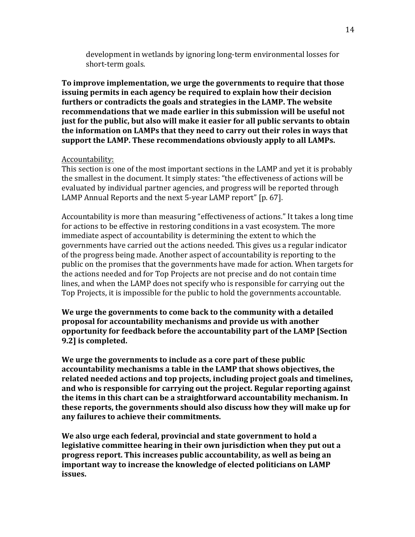development in wetlands by ignoring long-term environmental losses for short-term goals.

To improve implementation, we urge the governments to require that those **issuing permits in each agency be required to explain how their decision furthers or contradicts the goals and strategies in the LAMP. The website** recommendations that we made earlier in this submission will be useful not **just for the public, but also will make it easier for all public servants to obtain** the information on LAMPs that they need to carry out their roles in ways that **support the LAMP. These recommendations obviously apply to all LAMPs.** 

### Accountability:

This section is one of the most important sections in the LAMP and yet it is probably the smallest in the document. It simply states: "the effectiveness of actions will be evaluated by individual partner agencies, and progress will be reported through LAMP Annual Reports and the next 5-year LAMP report" [p. 67].

Accountability is more than measuring "effectiveness of actions." It takes a long time for actions to be effective in restoring conditions in a vast ecosystem. The more immediate aspect of accountability is determining the extent to which the governments have carried out the actions needed. This gives us a regular indicator of the progress being made. Another aspect of accountability is reporting to the public on the promises that the governments have made for action. When targets for the actions needed and for Top Projects are not precise and do not contain time lines, and when the LAMP does not specify who is responsible for carrying out the Top Projects, it is impossible for the public to hold the governments accountable.

We urge the governments to come back to the community with a detailed **proposal for accountability mechanisms and provide us with another <u>opportunity for feedback before the accountability part of the LAMP [Section ]</u> 9.2]** is completed.

We urge the governments to include as a core part of these public accountability mechanisms a table in the LAMP that shows objectives, the **related needed actions and top projects, including project goals and timelines,** and who is responsible for carrying out the project. Regular reporting against **the items in this chart can be a straightforward accountability mechanism. In these reports, the governments should also discuss how they will make up for any failures to achieve their commitments.**

We also urge each federal, provincial and state government to hold a **legislative committee hearing in their own jurisdiction when they put out a** progress report. This increases public accountability, as well as being an **important way to increase the knowledge of elected politicians on LAMP issues.**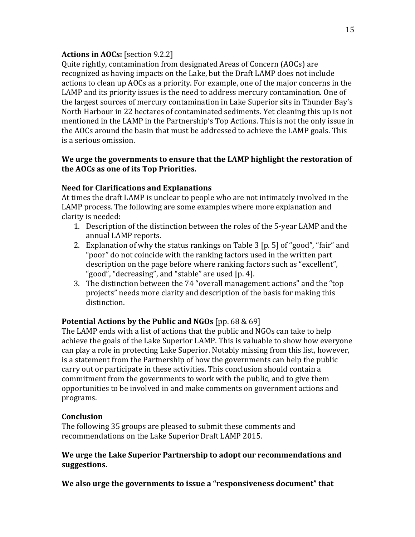# **Actions in AOCs:** [section 9.2.2]

Quite rightly, contamination from designated Areas of Concern (AOCs) are recognized as having impacts on the Lake, but the Draft LAMP does not include actions to clean up AOCs as a priority. For example, one of the major concerns in the LAMP and its priority issues is the need to address mercury contamination. One of the largest sources of mercury contamination in Lake Superior sits in Thunder Bay's North Harbour in 22 hectares of contaminated sediments. Yet cleaning this up is not mentioned in the LAMP in the Partnership's Top Actions. This is not the only issue in the AOCs around the basin that must be addressed to achieve the LAMP goals. This is a serious omission. 

# We urge the governments to ensure that the LAMP highlight the restoration of **the AOCs as one of its Top Priorities.**

# **Need for Clarifications and Explanations**

At times the draft LAMP is unclear to people who are not intimately involved in the LAMP process. The following are some examples where more explanation and clarity is needed:

- 1. Description of the distinction between the roles of the 5-year LAMP and the annual LAMP reports.
- 2. Explanation of why the status rankings on Table  $3$  [p. 5] of "good", "fair" and "poor" do not coincide with the ranking factors used in the written part description on the page before where ranking factors such as "excellent", "good", "decreasing", and "stable" are used [p. 4].
- 3. The distinction between the 74 "overall management actions" and the "top projects" needs more clarity and description of the basis for making this distinction.

# **Potential Actions by the Public and NGOs** [pp. 68 & 69]

The LAMP ends with a list of actions that the public and NGOs can take to help achieve the goals of the Lake Superior LAMP. This is valuable to show how everyone can play a role in protecting Lake Superior. Notably missing from this list, however, is a statement from the Partnership of how the governments can help the public carry out or participate in these activities. This conclusion should contain a commitment from the governments to work with the public, and to give them opportunities to be involved in and make comments on government actions and programs.

# **Conclusion**

The following 35 groups are pleased to submit these comments and recommendations on the Lake Superior Draft LAMP 2015.

# We urge the Lake Superior Partnership to adopt our recommendations and **suggestions.**

We also urge the governments to issue a "responsiveness document" that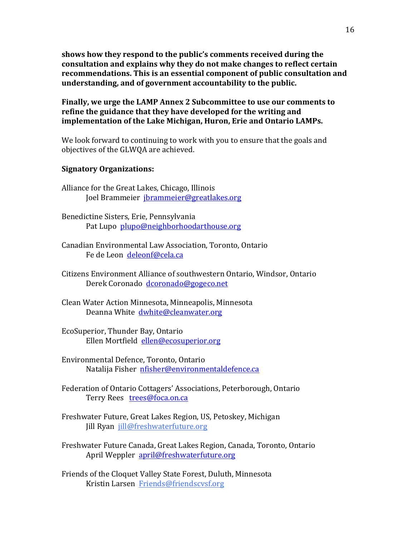shows how they respond to the public's comments received during the consultation and explains why they do not make changes to reflect certain **recommendations.** This is an essential component of public consultation and **understanding, and of government accountability to the public.**

**Finally, we urge the LAMP Annex 2 Subcommittee to use our comments to** refine the guidance that they have developed for the writing and **implementation of the Lake Michigan, Huron, Erie and Ontario LAMPs.** 

We look forward to continuing to work with you to ensure that the goals and objectives of the GLWOA are achieved.

### **Signatory Organizations:**

- Alliance for the Great Lakes, Chicago, Illinois Joel Brammeier jbrammeier@greatlakes.org
- Benedictine Sisters, Erie, Pennsylvania Pat Lupo plupo@neighborhoodarthouse.org
- Canadian Environmental Law Association, Toronto, Ontario Fe de Leon deleonf@cela.ca
- Citizens Environment Alliance of southwestern Ontario, Windsor, Ontario Derek Coronado dcoronado@gogeco.net
- Clean Water Action Minnesota, Minneapolis, Minnesota Deanna White dwhite@cleanwater.org
- EcoSuperior, Thunder Bay, Ontario Ellen Mortfield ellen@ecosuperior.org
- Environmental Defence, Toronto, Ontario Natalija Fisher nfisher@environmentaldefence.ca
- Federation of Ontario Cottagers' Associations, Peterborough, Ontario Terry Rees trees@foca.on.ca
- Freshwater Future, Great Lakes Region, US, Petoskey, Michigan Jill Ryan jill@freshwaterfuture.org
- Freshwater Future Canada, Great Lakes Region, Canada, Toronto, Ontario April Weppler april@freshwaterfuture.org
- Friends of the Cloquet Valley State Forest, Duluth, Minnesota Kristin Larsen Friends@friendscvsf.org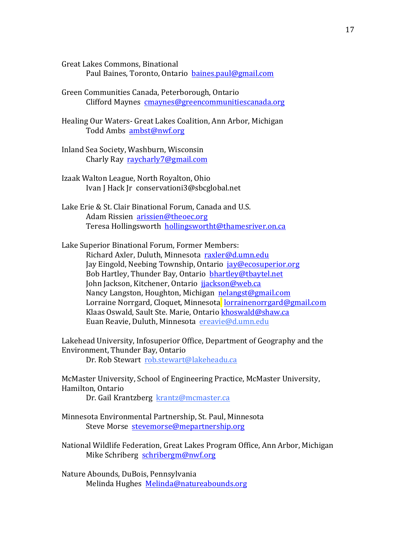Great Lakes Commons, Binational Paul Baines, Toronto, Ontario baines.paul@gmail.com

Green Communities Canada, Peterborough, Ontario Clifford Maynes cmaynes@greencommunitiescanada.org

Healing Our Waters- Great Lakes Coalition, Ann Arbor, Michigan Todd Ambs ambst@nwf.org

Inland Sea Society, Washburn, Wisconsin Charly Ray raycharly7@gmail.com

Izaak Walton League, North Royalton, Ohio Ivan J Hack Jr conservationi3@sbcglobal.net

Lake Erie & St. Clair Binational Forum, Canada and U.S. Adam Rissien arissien@theoec.org Teresa Hollingsworth hollingswortht@thamesriver.on.ca

Lake Superior Binational Forum, Former Members: Richard Axler, Duluth, Minnesota raxler@d.umn.edu Jay Eingold, Neebing Township, Ontario jay@ecosuperior.org Bob Hartley, Thunder Bay, Ontario bhartley@tbaytel.net John Jackson, Kitchener, Ontario jjackson@web.ca Nancy Langston, Houghton, Michigan nelangst@gmail.com Lorraine Norrgard, Cloquet, Minnesota lorrainenorrgard@gmail.com Klaas Oswald, Sault Ste. Marie, Ontario khoswald@shaw.ca Euan Reavie, Duluth, Minnesota ereavie@d.umn.edu

Lakehead University, Infosuperior Office, Department of Geography and the Environment, Thunder Bay, Ontario

Dr. Rob Stewart rob.stewart@lakeheadu.ca

McMaster University, School of Engineering Practice, McMaster University, Hamilton, Ontario

Dr. Gail Krantzberg krantz@mcmaster.ca

Minnesota Environmental Partnership, St. Paul, Minnesota Steve Morse stevemorse@mepartnership.org

National Wildlife Federation, Great Lakes Program Office, Ann Arbor, Michigan Mike Schriberg schribergm@nwf.org

Nature Abounds, DuBois, Pennsylvania Melinda Hughes Melinda@natureabounds.org